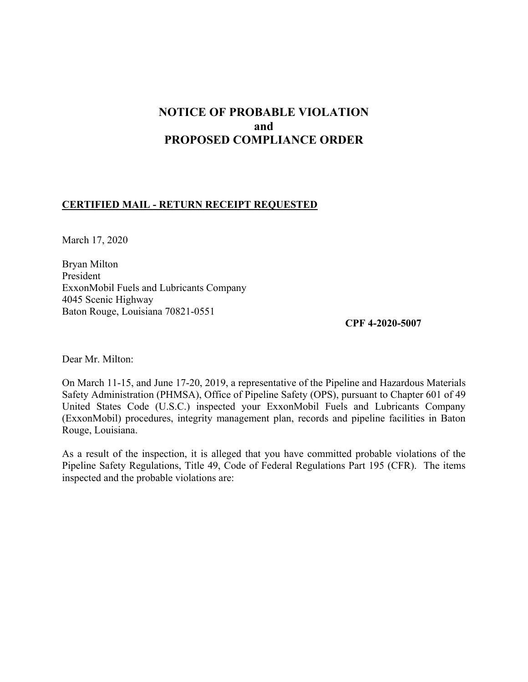# **NOTICE OF PROBABLE VIOLATION and PROPOSED COMPLIANCE ORDER**

#### **CERTIFIED MAIL - RETURN RECEIPT REQUESTED**

March 17, 2020

Bryan Milton President ExxonMobil Fuels and Lubricants Company 4045 Scenic Highway Baton Rouge, Louisiana 70821-0551

**CPF 4-2020-5007** 

Dear Mr. Milton:

On March 11-15, and June 17-20, 2019, a representative of the Pipeline and Hazardous Materials Safety Administration (PHMSA), Office of Pipeline Safety (OPS), pursuant to Chapter 601 of 49 United States Code (U.S.C.) inspected your ExxonMobil Fuels and Lubricants Company (ExxonMobil) procedures, integrity management plan, records and pipeline facilities in Baton Rouge, Louisiana.

As a result of the inspection, it is alleged that you have committed probable violations of the Pipeline Safety Regulations, Title 49, Code of Federal Regulations Part 195 (CFR). The items inspected and the probable violations are: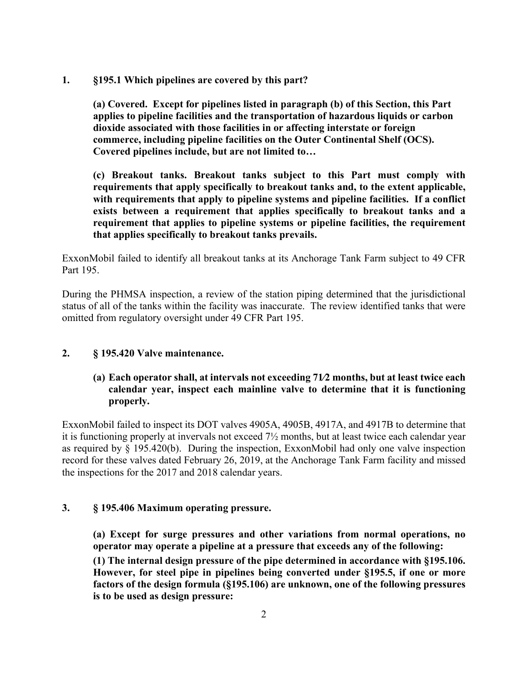**1. §195.1 Which pipelines are covered by this part?** 

**(a) Covered. Except for pipelines listed in paragraph (b) of this Section, this Part applies to pipeline facilities and the transportation of hazardous liquids or carbon dioxide associated with those facilities in or affecting interstate or foreign commerce, including pipeline facilities on the Outer Continental Shelf (OCS). Covered pipelines include, but are not limited to…** 

**(c) Breakout tanks. Breakout tanks subject to this Part must comply with requirements that apply specifically to breakout tanks and, to the extent applicable, with requirements that apply to pipeline systems and pipeline facilities. If a conflict exists between a requirement that applies specifically to breakout tanks and a requirement that applies to pipeline systems or pipeline facilities, the requirement that applies specifically to breakout tanks prevails.** 

ExxonMobil failed to identify all breakout tanks at its Anchorage Tank Farm subject to 49 CFR Part 195.

During the PHMSA inspection, a review of the station piping determined that the jurisdictional status of all of the tanks within the facility was inaccurate. The review identified tanks that were omitted from regulatory oversight under 49 CFR Part 195.

#### **2. § 195.420 Valve maintenance.**

### **(a) Each operator shall, at intervals not exceeding 71∕2 months, but at least twice each calendar year, inspect each mainline valve to determine that it is functioning properly.**

ExxonMobil failed to inspect its DOT valves 4905A, 4905B, 4917A, and 4917B to determine that it is functioning properly at invervals not exceed 7½ months, but at least twice each calendar year as required by § 195.420(b). During the inspection, ExxonMobil had only one valve inspection record for these valves dated February 26, 2019, at the Anchorage Tank Farm facility and missed the inspections for the 2017 and 2018 calendar years.

#### **3. § 195.406 Maximum operating pressure.**

**(a) Except for surge pressures and other variations from normal operations, no operator may operate a pipeline at a pressure that exceeds any of the following:** 

**(1) The internal design pressure of the pipe determined in accordance with §195.106. However, for steel pipe in pipelines being converted under §195.5, if one or more factors of the design formula (§195.106) are unknown, one of the following pressures is to be used as design pressure:**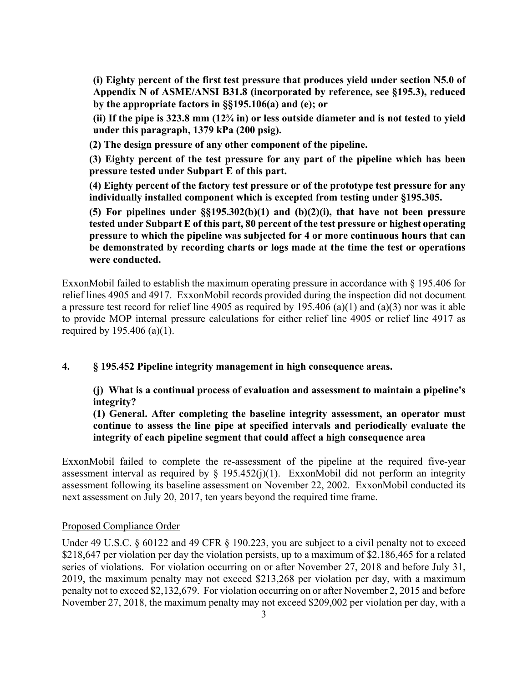**(i) Eighty percent of the first test pressure that produces yield under section N5.0 of Appendix N of ASME/ANSI B31.8 (incorporated by reference, see §195.3), reduced by the appropriate factors in §§195.106(a) and (e); or** 

**(ii) If the pipe is 323.8 mm (12¾ in) or less outside diameter and is not tested to yield under this paragraph, 1379 kPa (200 psig).** 

**(2) The design pressure of any other component of the pipeline.** 

**(3) Eighty percent of the test pressure for any part of the pipeline which has been pressure tested under Subpart E of this part.** 

**(4) Eighty percent of the factory test pressure or of the prototype test pressure for any individually installed component which is excepted from testing under §195.305.** 

**(5) For pipelines under §§195.302(b)(1) and (b)(2)(i), that have not been pressure tested under Subpart E of this part, 80 percent of the test pressure or highest operating pressure to which the pipeline was subjected for 4 or more continuous hours that can be demonstrated by recording charts or logs made at the time the test or operations were conducted.** 

ExxonMobil failed to establish the maximum operating pressure in accordance with § 195.406 for relief lines 4905 and 4917. ExxonMobil records provided during the inspection did not document a pressure test record for relief line 4905 as required by 195.406 (a)(1) and (a)(3) nor was it able to provide MOP internal pressure calculations for either relief line 4905 or relief line 4917 as required by 195.406 (a)(1).

**4. § 195.452 Pipeline integrity management in high consequence areas.** 

**(j) What is a continual process of evaluation and assessment to maintain a pipeline's integrity?** 

**(1) General. After completing the baseline integrity assessment, an operator must continue to assess the line pipe at specified intervals and periodically evaluate the integrity of each pipeline segment that could affect a high consequence area** 

ExxonMobil failed to complete the re-assessment of the pipeline at the required five-year assessment interval as required by  $\S$  195.452(j)(1). ExxonMobil did not perform an integrity assessment following its baseline assessment on November 22, 2002. ExxonMobil conducted its next assessment on July 20, 2017, ten years beyond the required time frame.

#### Proposed Compliance Order

Under 49 U.S.C. § 60122 and 49 CFR § 190.223, you are subject to a civil penalty not to exceed \$218,647 per violation per day the violation persists, up to a maximum of \$2,186,465 for a related series of violations. For violation occurring on or after November 27, 2018 and before July 31, 2019, the maximum penalty may not exceed \$213,268 per violation per day, with a maximum penalty not to exceed \$2,132,679. For violation occurring on or after November 2, 2015 and before November 27, 2018, the maximum penalty may not exceed \$209,002 per violation per day, with a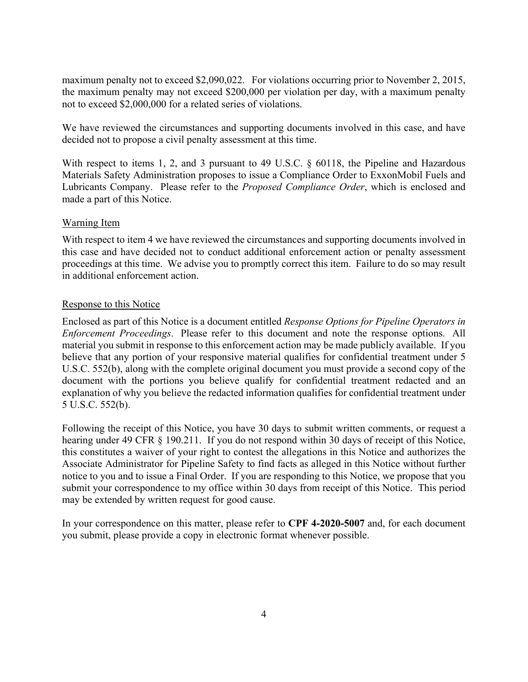maximum penalty not to exceed \$2,090,022. For violations occurring prior to November 2, 2015, the maximum penalty may not exceed \$200,000 per violation per day, with a maximum penalty not to exceed \$2,000,000 for a related series of violations.

We have reviewed the circumstances and supporting documents involved in this case, and have decided not to propose a civil penalty assessment at this time.

With respect to items 1, 2, and 3 pursuant to 49 U.S.C. § 60118, the Pipeline and Hazardous Materials Safety Administration proposes to issue a Compliance Order to ExxonMobil Fuels and Lubricants Company. Please refer to the *Proposed Compliance Order*, which is enclosed and made a part of this Notice.

#### Warning Item

With respect to item 4 we have reviewed the circumstances and supporting documents involved in this case and have decided not to conduct additional enforcement action or penalty assessment proceedings at this time. We advise you to promptly correct this item. Failure to do so may result in additional enforcement action.

#### Response to this Notice

Enclosed as part of this Notice is a document entitled *Response Options for Pipeline Operators in Enforcement Proceedings*. Please refer to this document and note the response options. All material you submit in response to this enforcement action may be made publicly available. If you believe that any portion of your responsive material qualifies for confidential treatment under 5 U.S.C. 552(b), along with the complete original document you must provide a second copy of the document with the portions you believe qualify for confidential treatment redacted and an explanation of why you believe the redacted information qualifies for confidential treatment under 5 U.S.C. 552(b).

Following the receipt of this Notice, you have 30 days to submit written comments, or request a hearing under 49 CFR § 190.211. If you do not respond within 30 days of receipt of this Notice, this constitutes a waiver of your right to contest the allegations in this Notice and authorizes the Associate Administrator for Pipeline Safety to find facts as alleged in this Notice without further notice to you and to issue a Final Order. If you are responding to this Notice, we propose that you submit your correspondence to my office within 30 days from receipt of this Notice. This period may be extended by written request for good cause.

In your correspondence on this matter, please refer to **CPF 4-2020-5007** and, for each document you submit, please provide a copy in electronic format whenever possible.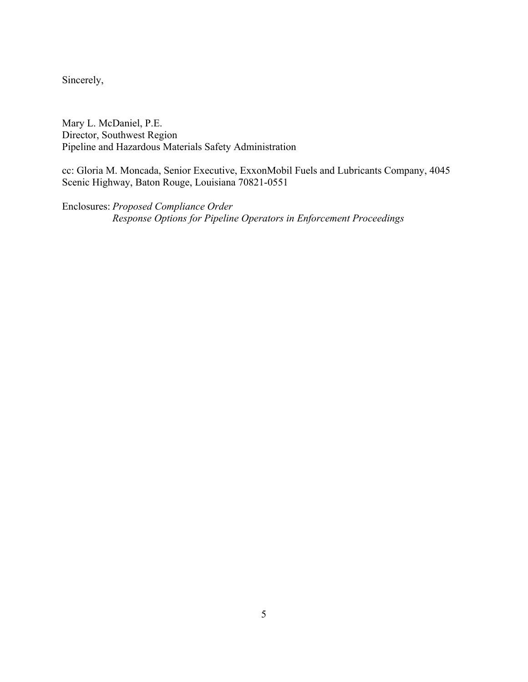Sincerely,

Mary L. McDaniel, P.E. Director, Southwest Region Pipeline and Hazardous Materials Safety Administration

cc: Gloria M. Moncada, Senior Executive, ExxonMobil Fuels and Lubricants Company, 4045 Scenic Highway, Baton Rouge, Louisiana 70821-0551

Enclosures: *Proposed Compliance Order Response Options for Pipeline Operators in Enforcement Proceedings*